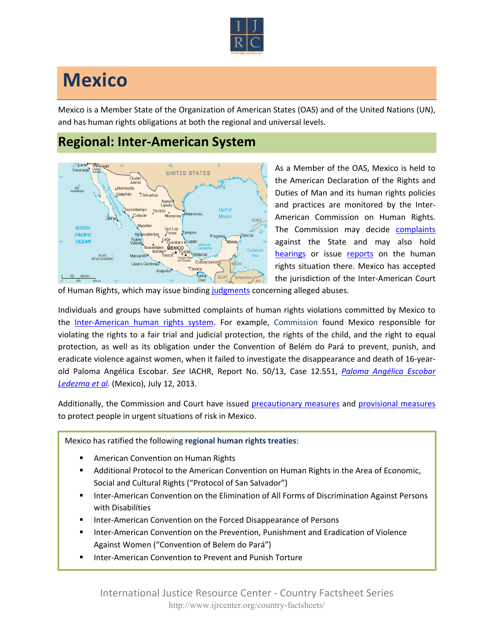

## **Mexico**

Mexico is a Member State of the Organization of American States (OAS) and of the United Nations (UN), and has human rights obligations at both the regional and universal levels.

## **Regional: Inter-American System**



As a Member of the OAS, Mexico is held to the American Declaration of the Rights and Duties of Man and its human rights policies and practices are monitored by the Inter-American Commission on Human Rights. The Commission may decide [complaints](http://www.oas.org/en/iachr/decisions/merits.asp) against the State and may also hold [hearings](http://www.oas.org/es/cidh/audiencias/advanced.aspx?lang=en) or issue [reports](http://www.oas.org/en/iachr/reports/country.asp) on the human rights situation there. Mexico has accepted the jurisdiction of the Inter-American Court

of Human Rights, which may issue binding [judgments](http://www.corteidh.or.cr/cf/Jurisprudencia2/busqueda_casos_contenciosos.cfm?lang=en) concerning alleged abuses.

Individuals and groups have submitted complaints of human rights violations committed by Mexico to the [Inter-American human rights system.](http://www.ijrcenter.org/regional/inter-american-system/) For example, Commission found Mexico responsible for violating the rights to a fair trial and judicial protection, the rights of the child, and the right to equal protection, as well as its obligation under the Convention of Belém do Pará to prevent, punish, and eradicate violence against women, when it failed to investigate the disappearance and death of 16-yearold Paloma Angélica Escobar. *See* IACHR, Report No. 50/13, Case 12.551, *[Paloma Angélica Escobar](http://www.oas.org/en/iachr/decisions/2013/MXPU12551EN.doc)  [Ledezma et al.](http://www.oas.org/en/iachr/decisions/2013/MXPU12551EN.doc)* (Mexico), July 12, 2013.

Additionally, the Commission and Court have issued [precautionary measures](http://www.oas.org/en/iachr/decisions/precautionary.asp) and [provisional measures](http://www.corteidh.or.cr/cf/Jurisprudencia2/busqueda_medidas_provisionales.cfm?lang=en) to protect people in urgent situations of risk in Mexico.

Mexico has ratified the following **regional human rights treaties**:

- American Convention on Human Rights
- Additional Protocol to the American Convention on Human Rights in the Area of Economic, Social and Cultural Rights ("Protocol of San Salvador")
- Inter-American Convention on the Elimination of All Forms of Discrimination Against Persons with Disabilities
- Inter-American Convention on the Forced Disappearance of Persons
- Inter-American Convention on the Prevention, Punishment and Eradication of Violence Against Women ("Convention of Belem do Pará")
- Inter-American Convention to Prevent and Punish Torture